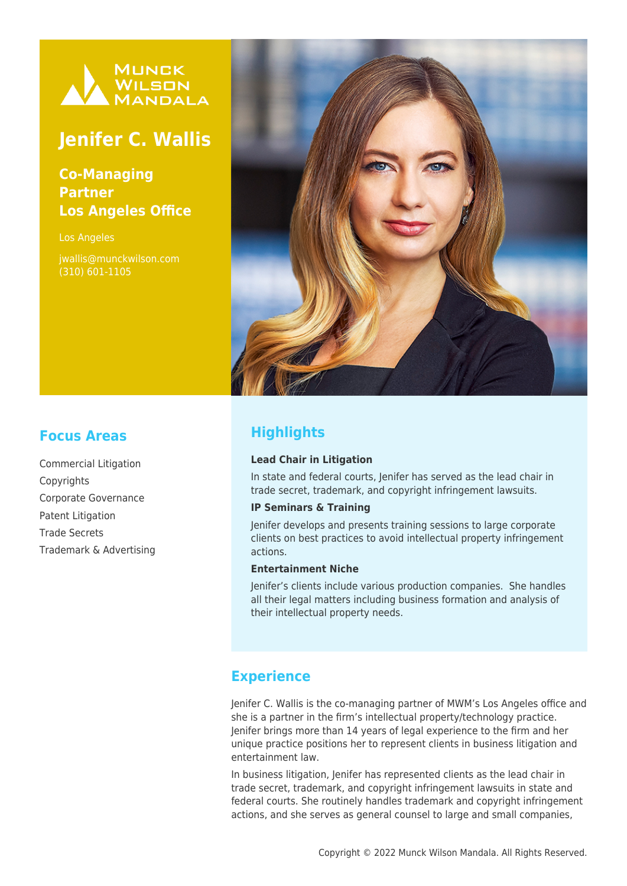

# **Jenifer C. Wallis**

### **Co-Managing Partner Los Angeles Office**

Los Angeles

jwallis@munckwilson.com (310) 601-1105



## **Highlights**

#### **Lead Chair in Litigation**

In state and federal courts, Jenifer has served as the lead chair in trade secret, trademark, and copyright infringement lawsuits.

#### **IP Seminars & Training**

Jenifer develops and presents training sessions to large corporate clients on best practices to avoid intellectual property infringement actions.

#### **Entertainment Niche**

Jenifer's clients include various production companies. She handles all their legal matters including business formation and analysis of their intellectual property needs.

### **Experience**

Jenifer C. Wallis is the co-managing partner of MWM's Los Angeles office and she is a partner in the firm's intellectual property/technology practice. Jenifer brings more than 14 years of legal experience to the firm and her unique practice positions her to represent clients in business litigation and entertainment law.

In business litigation, Jenifer has represented clients as the lead chair in trade secret, trademark, and copyright infringement lawsuits in state and federal courts. She routinely handles trademark and copyright infringement actions, and she serves as general counsel to large and small companies,

### **Focus Areas**

Commercial Litigation **Copyrights** Corporate Governance Patent Litigation Trade Secrets Trademark & Advertising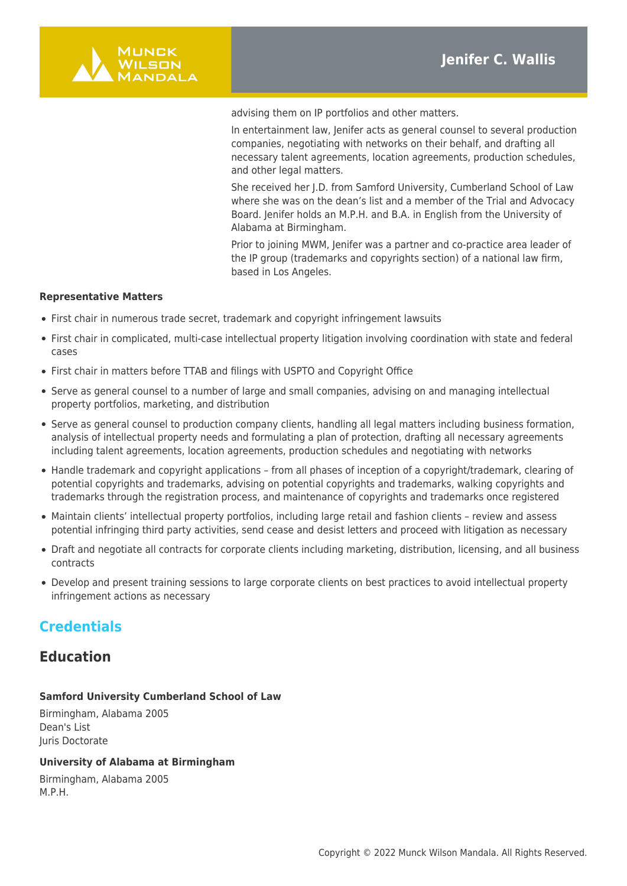

advising them on IP portfolios and other matters.

In entertainment law, Jenifer acts as general counsel to several production companies, negotiating with networks on their behalf, and drafting all necessary talent agreements, location agreements, production schedules, and other legal matters.

She received her J.D. from Samford University, Cumberland School of Law where she was on the dean's list and a member of the Trial and Advocacy Board. Jenifer holds an M.P.H. and B.A. in English from the University of Alabama at Birmingham.

Prior to joining MWM, Jenifer was a partner and co-practice area leader of the IP group (trademarks and copyrights section) of a national law firm, based in Los Angeles.

#### **Representative Matters**

- First chair in numerous trade secret, trademark and copyright infringement lawsuits
- First chair in complicated, multi-case intellectual property litigation involving coordination with state and federal cases
- First chair in matters before TTAB and filings with USPTO and Copyright Office
- Serve as general counsel to a number of large and small companies, advising on and managing intellectual property portfolios, marketing, and distribution
- Serve as general counsel to production company clients, handling all legal matters including business formation, analysis of intellectual property needs and formulating a plan of protection, drafting all necessary agreements including talent agreements, location agreements, production schedules and negotiating with networks
- Handle trademark and copyright applications from all phases of inception of a copyright/trademark, clearing of potential copyrights and trademarks, advising on potential copyrights and trademarks, walking copyrights and trademarks through the registration process, and maintenance of copyrights and trademarks once registered
- Maintain clients' intellectual property portfolios, including large retail and fashion clients review and assess potential infringing third party activities, send cease and desist letters and proceed with litigation as necessary
- Draft and negotiate all contracts for corporate clients including marketing, distribution, licensing, and all business contracts
- Develop and present training sessions to large corporate clients on best practices to avoid intellectual property infringement actions as necessary

### **Credentials**

### **Education**

#### **Samford University Cumberland School of Law**

Birmingham, Alabama 2005 Dean's List Juris Doctorate

#### **University of Alabama at Birmingham**

Birmingham, Alabama 2005 M.P.H.